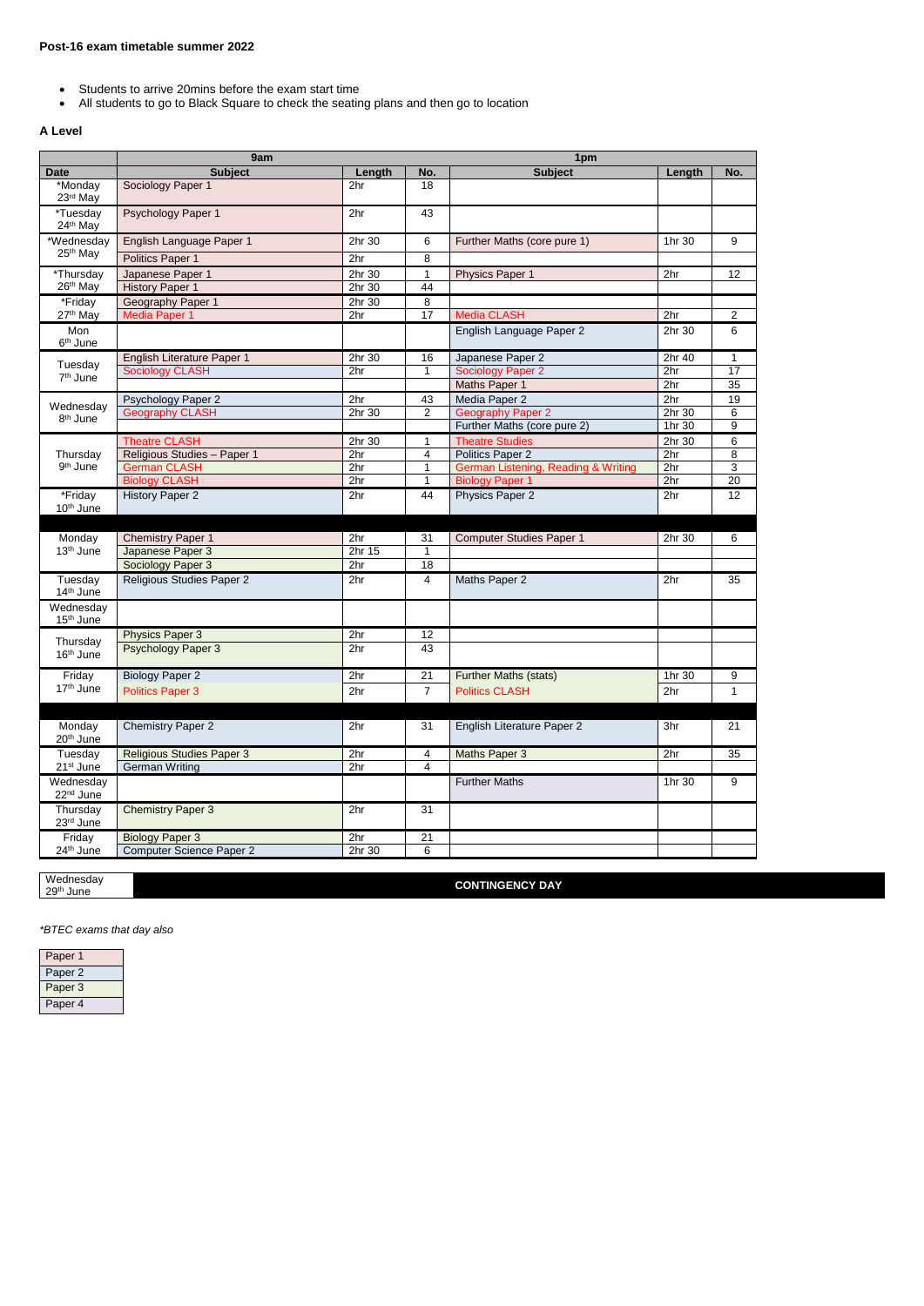- Students to arrive 20mins before the exam start time
- All students to go to Black Square to check the seating plans and then go to location

## **A Level**

|                                          | 9am                              |                 |                | 1pm                                 |                 |                  |
|------------------------------------------|----------------------------------|-----------------|----------------|-------------------------------------|-----------------|------------------|
| <b>Date</b>                              | <b>Subject</b>                   | Length          | No.            | <b>Subject</b>                      | Length          | No.              |
| *Monday<br>23rd May                      | Sociology Paper 1                | 2hr             | 18             |                                     |                 |                  |
| $\overline{\text{H}}$ uesday<br>24th May | Psychology Paper 1               | 2hr             | 43             |                                     |                 |                  |
| *Wednesday                               | English Language Paper 1         | 2hr 30          | 6              | Further Maths (core pure 1)         | 1hr 30          | 9                |
| 25 <sup>th</sup> May                     | Politics Paper 1                 | 2hr             | 8              |                                     |                 |                  |
| *Thursday                                | Japanese Paper 1                 | 2hr 30          | 1              | <b>Physics Paper 1</b>              | 2 <sub>hr</sub> | 12               |
| 26 <sup>th</sup> May                     | <b>History Paper 1</b>           | 2hr 30          | 44             |                                     |                 |                  |
| *Friday                                  | Geography Paper 1                | 2hr 30          | 8              |                                     |                 |                  |
| 27th May                                 | <b>Media Paper 1</b>             | 2hr             | 17             | <b>Media CLASH</b>                  | 2hr             | 2                |
| Mon<br>6 <sup>th</sup> June              |                                  |                 |                | English Language Paper 2            | 2hr 30          | 6                |
|                                          | English Literature Paper 1       | 2hr 30          | 16             | Japanese Paper 2                    | 2hr 40          | 1                |
| Tuesday<br>7 <sup>th</sup> June          | <b>Sociology CLASH</b>           | 2hr             | $\mathbf{1}$   | <b>Sociology Paper 2</b>            | 2 <sub>hr</sub> | 17               |
|                                          |                                  |                 |                | Maths Paper 1                       | 2hr             | 35               |
|                                          | Psychology Paper 2               | 2hr             | 43             | Media Paper 2                       | 2hr             | 19               |
| Wednesday<br>8 <sup>th</sup> June        | <b>Geography CLASH</b>           | 2hr 30          | $\overline{c}$ | <b>Geography Paper 2</b>            | 2hr 30          | 6                |
|                                          |                                  |                 |                | Further Maths (core pure 2)         | 1hr 30          | $\boldsymbol{9}$ |
|                                          | <b>Theatre CLASH</b>             | 2hr 30          | 1              | <b>Theatre Studies</b>              | 2hr 30          | 6                |
| Thursday                                 | Religious Studies - Paper 1      | 2hr             | 4              | Politics Paper 2                    | 2hr             | 8                |
| 9 <sup>th</sup> June                     | <b>German CLASH</b>              | 2hr             | 1              | German Listening, Reading & Writing | 2 <sub>hr</sub> | 3                |
|                                          | <b>Biology CLASH</b>             | 2hr             | 1              | <b>Biology Paper 1</b>              | 2hr             | 20               |
| *Friday                                  | <b>History Paper 2</b>           | 2hr             | 44             | Physics Paper 2                     | 2hr             | 12               |
| 10th June                                |                                  |                 |                |                                     |                 |                  |
|                                          |                                  |                 |                |                                     |                 |                  |
| Monday                                   | <b>Chemistry Paper 1</b>         | 2hr             | 31             | <b>Computer Studies Paper 1</b>     | 2hr 30          | 6                |
| 13 <sup>th</sup> June                    | Japanese Paper 3                 | 2hr 15          | $\mathbf 1$    |                                     |                 |                  |
|                                          | Sociology Paper 3                | 2hr             | 18             |                                     |                 |                  |
| Tuesday<br>14th June                     | Religious Studies Paper 2        | 2hr             | $\overline{4}$ | Maths Paper 2                       | 2hr             | 35               |
| Wednesday<br>15 <sup>th</sup> June       |                                  |                 |                |                                     |                 |                  |
|                                          | <b>Physics Paper 3</b>           | 2hr             | 12             |                                     |                 |                  |
| Thursday<br>16th June                    | <b>Psychology Paper 3</b>        | 2hr             | 43             |                                     |                 |                  |
| Friday                                   | <b>Biology Paper 2</b>           | 2hr             | 21             | <b>Further Maths (stats)</b>        | 1hr 30          | 9                |
| 17th June                                | <b>Politics Paper 3</b>          | 2hr             | $\overline{7}$ | <b>Politics CLASH</b>               | 2hr             | $\mathbf{1}$     |
|                                          |                                  |                 |                |                                     |                 |                  |
| Monday<br>20 <sup>th</sup> June          | <b>Chemistry Paper 2</b>         | 2 <sub>hr</sub> | 31             | English Literature Paper 2          | 3hr             | 21               |
| Tuesday                                  | <b>Religious Studies Paper 3</b> | 2hr             | $\overline{4}$ | Maths Paper 3                       | 2 <sub>hr</sub> | 35               |
| 21 <sup>st</sup> June                    | <b>German Writing</b>            | 2hr             | $\overline{4}$ |                                     |                 |                  |
| Wednesday<br>22 <sup>nd</sup> June       |                                  |                 |                | <b>Further Maths</b>                | 1hr 30          | 9                |
| Thursday<br>23rd June                    | <b>Chemistry Paper 3</b>         | 2hr             | 31             |                                     |                 |                  |
| Friday                                   | <b>Biology Paper 3</b>           | 2hr             | 21             |                                     |                 |                  |
| 24 <sup>th</sup> June                    | <b>Computer Science Paper 2</b>  | 2hr 30          | $\,6\,$        |                                     |                 |                  |

| Wednesday    | <b>CONTINGENCY DAY</b> |
|--------------|------------------------|
| 29th<br>June |                        |

*\*BTEC exams that day also*

| Paper   |  |
|---------|--|
| Paper 2 |  |
|         |  |

| Paper 3 |  |
|---------|--|
| Paper 4 |  |